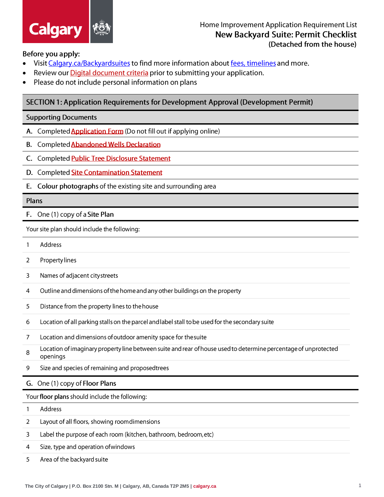

### Before you apply:

- Visit Calgary.ca/Backyardsuites to find more information about fees, timelines and more.
- Review our Digital document criteria prior to submitting your application.
- Please do not include personal information on plans

# SECTION 1: Application Requirements for Development Approval (Development Permit)

### **Supporting Documents**

- A. Completed **Application Form** (Do not fill out if applying online)
- B. Completed Abandoned Wells Declaration
- C. Completed Public Tree Disclosure Statement
- D. Completed Site Contamination Statement
- E. Colour photographs of the existing site and surrounding area

#### Plans

F. One (1) copy of a Site Plan

Your site plan should include the following:

- $\mathbf{1}$ Address
- $\overline{2}$ Propertylines
- $\mathsf 3$ Names of adjacent city streets
- Outline and dimensions of the home and any other buildings on the property  $\overline{4}$
- 5 Distance from the property lines to the house
- Location of all parking stalls on the parcel and label stall to be used for the secondary suite 6
- $\overline{7}$ Location and dimensions of outdoor amenity space for the suite
- Location of imaginary property line between suite and rear of house used to determine percentage of unprotected 8 openings
- 9 Size and species of remaining and proposed trees

## G. One (1) copy of Floor Plans

Your floor plans should include the following:

 $\mathbf{1}$ Address

- $\overline{2}$ Layout of all floors, showing room dimensions
- $\overline{3}$ Label the purpose of each room (kitchen, bathroom, bedroom, etc)
- $\overline{4}$ Size, type and operation of windows
- 5 Area of the backyard suite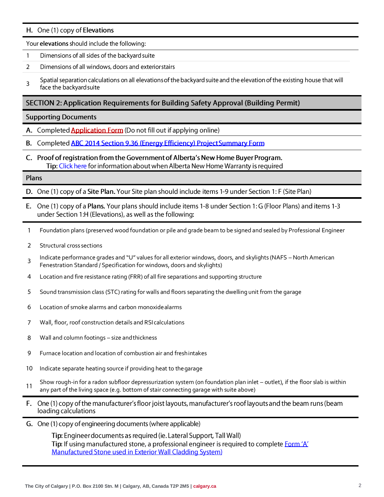### H. One (1) copy of Elevations

Your elevations should include the following:

- $\mathbf{1}$ Dimensions of all sides of the backyard suite
- $\overline{2}$ Dimensions of all windows, doors and exteriorstairs
- Spatial separation calculations on all elevations of the backyard suite and the elevation of the existing house that will  $\overline{\mathbf{3}}$ face the backyard suite

## SECTION 2: Application Requirements for Building Safety Approval (Building Permit)

#### **Supporting Documents**

- A. Completed **Application Form** (Do not fill out if applying online)
- B. Completed ABC 2014 Section 9.36 (Energy Efficiency) Project Summary Form
- C. Proof of registration from the Government of Alberta's New Home Buyer Program. Tip: Click here for information about when Alberta New Home Warranty is required

#### Plans

D. One (1) copy of a Site Plan. Your Site plan should include items 1-9 under Section 1: F (Site Plan)

- E. One (1) copy of a Plans. Your plans should include items 1-8 under Section 1: G (Floor Plans) and items 1-3 under Section 1:H (Elevations), as well as the following:
- Foundation plans (preserved wood foundation or pile and grade beam to be signed and sealed by Professional Engineer  $\mathbf{1}$
- $\overline{2}$ Structural cross sections
- Indicate performance grades and "U" values for all exterior windows, doors, and skylights (NAFS North American  $\overline{3}$ Fenestration Standard / Specification for windows, doors and skylights)
- Location and fire resistance rating (FRR) of all fire separations and supporting structure 4
- 5 Sound transmission class (STC) rating for walls and floors separating the dwelling unit from the garage
- 6 Location of smoke alarms and carbon monoxidealarms
- $\overline{7}$ Wall, floor, roof construction details and RSIcalculations
- Wall and column footings size andthickness 8
- 9 Furnace location and location of combustion air and freshintakes
- $10<sup>°</sup>$ Indicate separate heating source if providing heat to thegarage
- Show rough-in for a radon subfloor depressurization system (on foundation plan inlet outlet), if the floor slab is within  $11$ any part of the living space (e.g. bottom of stair connecting garage with suite above)
- F. One (1) copy of the manufacturer's floor joist layouts, manufacturer's roof layouts and the beam runs (beam loading calculations
- G. One (1) copy of engineering documents (where applicable)

Tip: Engineer documents as required (ie. Lateral Support, Tall Wall) Tip: If using manufactured stone, a professional engineer is required to complete Form 'A' Manufactured Stone used in Exterior Wall Cladding System)